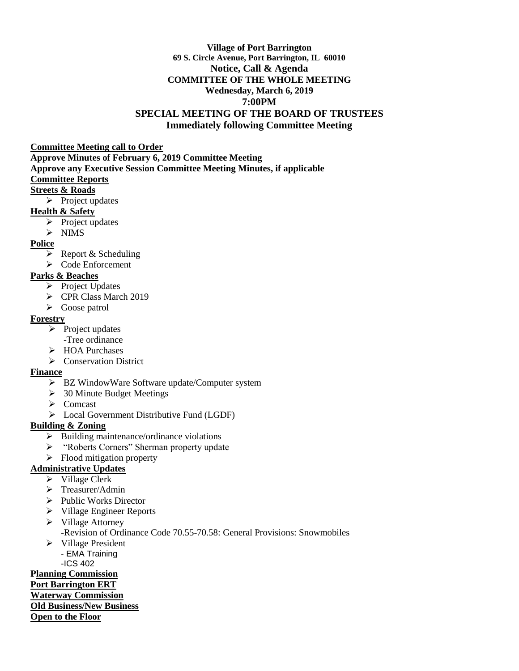### **Village of Port Barrington 69 S. Circle Avenue, Port Barrington, IL 60010 Notice, Call & Agenda COMMITTEE OF THE WHOLE MEETING Wednesday, March 6, 2019 7:00PM SPECIAL MEETING OF THE BOARD OF TRUSTEES Immediately following Committee Meeting**

#### **Committee Meeting call to Order**

**Approve Minutes of February 6, 2019 Committee Meeting Approve any Executive Session Committee Meeting Minutes, if applicable Committee Reports Streets & Roads**

 $\triangleright$  Project updates

### **Health & Safety**

- $\triangleright$  Project updates
- $\triangleright$  NIMS

### **Police**

- $\triangleright$  Report & Scheduling
- Code Enforcement

# **Parks & Beaches**

- $\triangleright$  Project Updates
- CPR Class March 2019
- Goose patrol

### **Forestry**

- $\triangleright$  Project updates
	- -Tree ordinance
- > HOA Purchases
- Conservation District

# **Finance**

- $\triangleright$  BZ WindowWare Software update/Computer system
- $\geq$  30 Minute Budget Meetings
- $\triangleright$  Comcast
- Local Government Distributive Fund (LGDF)

# **Building & Zoning**

- $\triangleright$  Building maintenance/ordinance violations
- > "Roberts Corners" Sherman property update
- $\triangleright$  Flood mitigation property

# **Administrative Updates**

- $\triangleright$  Village Clerk
- $\triangleright$  Treasurer/Admin
- $\triangleright$  Public Works Director
- $\triangleright$  Village Engineer Reports
- $\triangleright$  Village Attorney
	- -Revision of Ordinance Code 70.55-70.58: General Provisions: Snowmobiles
- $\triangleright$  Village President - EMA Training
	- -ICS 402

# **Planning Commission**

# **Port Barrington ERT**

#### **Waterway Commission Old Business/New Business**

**Open to the Floor**